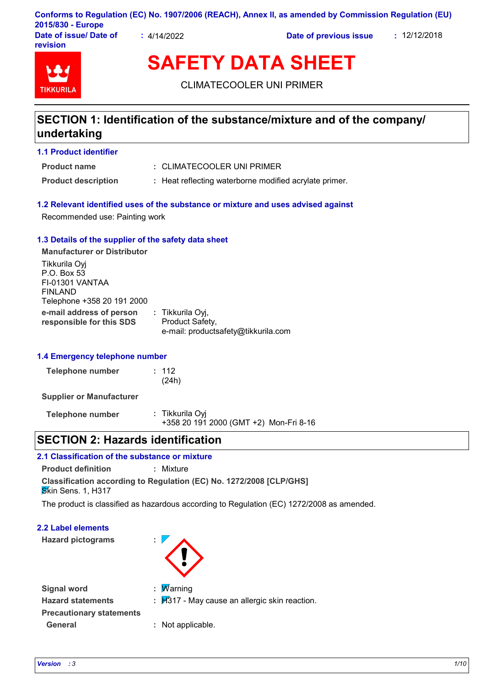| 2015/830 - Europe                  |             | Conforms to Regulation (EC) No. 1907/2006 (REACH), Annex II, as amended by Commission Regulation (EU) |              |  |
|------------------------------------|-------------|-------------------------------------------------------------------------------------------------------|--------------|--|
| Date of issue/ Date of<br>revision | : 4/14/2022 | Date of previous issue                                                                                | : 12/12/2018 |  |

# **SAFETY DATA SHEET**

CLIMATECOOLER UNI PRIMER

# **SECTION 1: Identification of the substance/mixture and of the company/ undertaking**

**1.1 Product identifier**

**TIKKURIL** 

- CLIMATECOOLER UNI PRIMER **: Product name**
- 
- **Product description : Heat reflecting waterborne modified acrylate primer.**

## **1.2 Relevant identified uses of the substance or mixture and uses advised against**

Recommended use: Painting work

## **1.3 Details of the supplier of the safety data sheet**

**e-mail address of person responsible for this SDS :** Tikkurila Oyj, Product Safety, e-mail: productsafety@tikkurila.com **Manufacturer or Distributor** Tikkurila Oyj P.O. Box 53 FI-01301 VANTAA FINLAND Telephone +358 20 191 2000

## **1.4 Emergency telephone number**

| Telephone number | : 112 |
|------------------|-------|
|                  | (24h) |

**Supplier or Manufacturer**

| Telephone number | : Tikkurila Oyi                        |  |
|------------------|----------------------------------------|--|
|                  | +358 20 191 2000 (GMT +2) Mon-Fri 8-16 |  |

## **SECTION 2: Hazards identification**

## **2.1 Classification of the substance or mixture**

**Classification according to Regulation (EC) No. 1272/2008 [CLP/GHS] Product definition :** Mixture **S**kin Sens. 1, H317

The product is classified as hazardous according to Regulation (EC) 1272/2008 as amended.

## **2.2 Label elements**

**Hazard pictograms :**



| <b>Signal word</b>              | : $\overline{\mathsf{W}}$ arning |
|---------------------------------|----------------------------------|
| <b>Hazard statements</b>        | : $\cancel{H}317$ - May cause    |
| <b>Precautionary statements</b> |                                  |
| General                         | : Not applicable.                |

- **Hazard statements :** H317 May cause an allergic skin reaction.
	- Not applicable.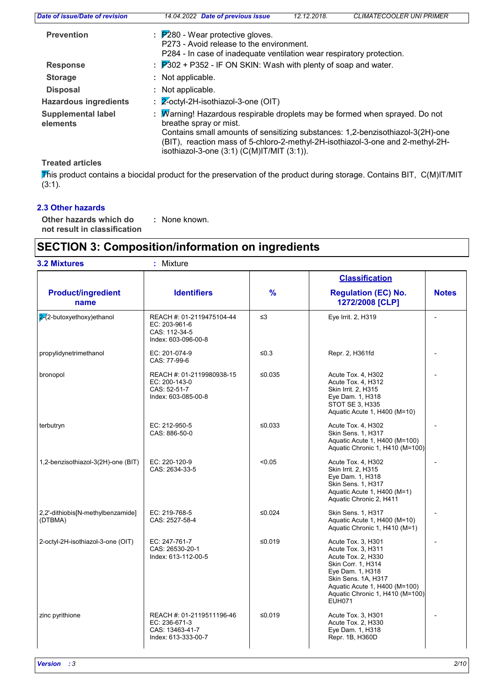| Date of issue/Date of revision        | 14.04.2022 Date of previous issue                                                                                                                                                                                                                                                                                               | 12.12.2018. | <b>CLIMATECOOLER UNI PRIMER</b> |
|---------------------------------------|---------------------------------------------------------------------------------------------------------------------------------------------------------------------------------------------------------------------------------------------------------------------------------------------------------------------------------|-------------|---------------------------------|
| <b>Prevention</b>                     | $\therefore$ $\mathsf{P}280$ - Wear protective gloves.<br>P273 - Avoid release to the environment.<br>P284 - In case of inadequate ventilation wear respiratory protection.                                                                                                                                                     |             |                                 |
| <b>Response</b>                       | : $\overline{P}302$ + P352 - IF ON SKIN: Wash with plenty of soap and water.                                                                                                                                                                                                                                                    |             |                                 |
| <b>Storage</b>                        | : Not applicable.                                                                                                                                                                                                                                                                                                               |             |                                 |
| <b>Disposal</b>                       | : Not applicable.                                                                                                                                                                                                                                                                                                               |             |                                 |
| <b>Hazardous ingredients</b>          | $\div$ 2-octyl-2H-isothiazol-3-one (OIT)                                                                                                                                                                                                                                                                                        |             |                                 |
| <b>Supplemental label</b><br>elements | : Marning! Hazardous respirable droplets may be formed when sprayed. Do not<br>breathe spray or mist.<br>Contains small amounts of sensitizing substances: 1,2-benzisothiazol-3(2H)-one<br>(BIT), reaction mass of 5-chloro-2-methyl-2H-isothiazol-3-one and 2-methyl-2H-<br>isothiazol-3-one $(3:1)$ $(C(M)$ IT/MIT $(3:1)$ ). |             |                                 |
|                                       |                                                                                                                                                                                                                                                                                                                                 |             |                                 |

**Treated articles**

This product contains a biocidal product for the preservation of the product during storage. Contains BIT, C(M)IT/MIT (3:1).

## **2.3 Other hazards**

**Other hazards which do : not result in classification** : None known.

# **SECTION 3: Composition/information on ingredients**

| <b>3.2 Mixtures</b>                          | Mixture<br>÷.                                                                                                                                                                                                                            |               |                                                                                                                                                                                                                      |              |
|----------------------------------------------|------------------------------------------------------------------------------------------------------------------------------------------------------------------------------------------------------------------------------------------|---------------|----------------------------------------------------------------------------------------------------------------------------------------------------------------------------------------------------------------------|--------------|
|                                              |                                                                                                                                                                                                                                          |               | <b>Classification</b>                                                                                                                                                                                                |              |
| <b>Product/ingredient</b><br>name            | <b>Identifiers</b>                                                                                                                                                                                                                       | $\frac{9}{6}$ | <b>Regulation (EC) No.</b><br>1272/2008 [CLP]                                                                                                                                                                        | <b>Notes</b> |
| $2(2$ -butoxyethoxy)ethanol                  | REACH #: 01-2119475104-44<br>EC: 203-961-6<br>CAS: 112-34-5<br>Index: 603-096-00-8                                                                                                                                                       | $\leq$ 3      | Eye Irrit. 2, H319                                                                                                                                                                                                   |              |
| propylidynetrimethanol                       | EC: 201-074-9<br>CAS: 77-99-6                                                                                                                                                                                                            | $≤0.3$        | Repr. 2, H361fd                                                                                                                                                                                                      |              |
| bronopol                                     | REACH #: 01-2119980938-15<br>≤ $0.035$<br>Acute Tox. 4, H302<br>Acute Tox. 4, H312<br>EC: 200-143-0<br>CAS: 52-51-7<br>Skin Irrit. 2, H315<br>Index: 603-085-00-8<br>Eye Dam. 1, H318<br>STOT SE 3, H335<br>Aquatic Acute 1, H400 (M=10) |               |                                                                                                                                                                                                                      |              |
| terbutryn                                    | EC: 212-950-5<br>CAS: 886-50-0                                                                                                                                                                                                           | ≤0.033        | Acute Tox. 4, H302<br>Skin Sens. 1, H317<br>Aquatic Acute 1, H400 (M=100)<br>Aquatic Chronic 1, H410 (M=100)                                                                                                         |              |
| 1,2-benzisothiazol-3(2H)-one (BIT)           | EC: 220-120-9<br>CAS: 2634-33-5                                                                                                                                                                                                          | < 0.05        | Acute Tox. 4, H302<br>Skin Irrit. 2, H315<br>Eye Dam. 1, H318<br>Skin Sens. 1, H317<br>Aquatic Acute 1, H400 (M=1)<br>Aquatic Chronic 2, H411                                                                        |              |
| 2,2'-dithiobis[N-methylbenzamide]<br>(DTBMA) | EC: 219-768-5<br>CAS: 2527-58-4                                                                                                                                                                                                          | ≤ $0.024$     | Skin Sens. 1, H317<br>Aquatic Acute 1, H400 (M=10)<br>Aquatic Chronic 1, H410 (M=1)                                                                                                                                  |              |
| 2-octyl-2H-isothiazol-3-one (OIT)            | EC: 247-761-7<br>CAS: 26530-20-1<br>Index: 613-112-00-5                                                                                                                                                                                  | ≤0.019        | Acute Tox. 3, H301<br>Acute Tox. 3. H311<br>Acute Tox. 2, H330<br>Skin Corr. 1, H314<br>Eye Dam. 1, H318<br>Skin Sens. 1A, H317<br>Aquatic Acute 1, H400 (M=100)<br>Aquatic Chronic 1, H410 (M=100)<br><b>EUH071</b> |              |
| zinc pyrithione                              | REACH #: 01-2119511196-46<br>EC: 236-671-3<br>CAS: 13463-41-7<br>Index: 613-333-00-7                                                                                                                                                     | ≤0.019        | Acute Tox. 3, H301<br>Acute Tox. 2, H330<br>Eye Dam. 1, H318<br>Repr. 1B, H360D                                                                                                                                      |              |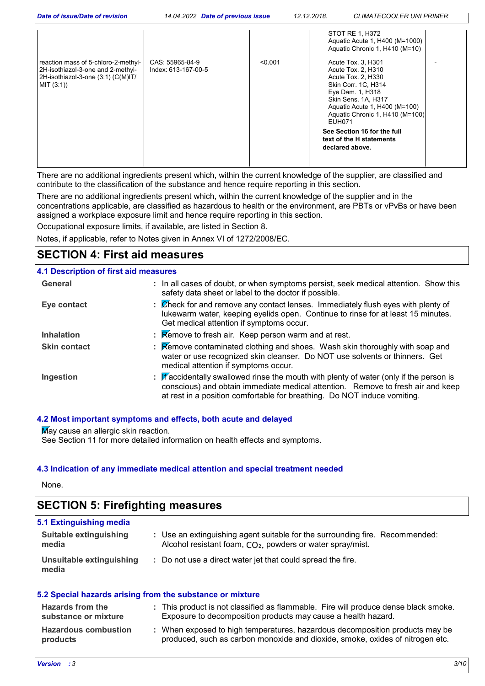| Date of issue/Date of revision                                                                                               | 14.04.2022 Date of previous issue      |         | 12.12.2018.<br><b>CLIMATECOOLER UNI PRIMER</b>                                                                                                                                                                                                           |
|------------------------------------------------------------------------------------------------------------------------------|----------------------------------------|---------|----------------------------------------------------------------------------------------------------------------------------------------------------------------------------------------------------------------------------------------------------------|
| reaction mass of 5-chloro-2-methyl-<br>2H-isothiazol-3-one and 2-methyl-<br>2H-isothiazol-3-one (3:1) (C(M)IT/<br>MIT (3:1)) | CAS: 55965-84-9<br>Index: 613-167-00-5 | < 0.001 | STOT RE 1, H372<br>Aquatic Acute 1, H400 (M=1000)<br>Aquatic Chronic 1, H410 (M=10)<br>Acute Tox. 3, H301<br>Acute Tox. 2, H310<br>Acute Tox. 2, H330<br>Skin Corr. 1C, H314<br>Eye Dam. 1, H318<br>Skin Sens. 1A, H317<br>Aquatic Acute 1, H400 (M=100) |
|                                                                                                                              |                                        |         | Aquatic Chronic 1, H410 (M=100)<br>EUH071<br>See Section 16 for the full<br>text of the H statements<br>declared above.                                                                                                                                  |

There are no additional ingredients present which, within the current knowledge of the supplier, are classified and contribute to the classification of the substance and hence require reporting in this section.

There are no additional ingredients present which, within the current knowledge of the supplier and in the concentrations applicable, are classified as hazardous to health or the environment, are PBTs or vPvBs or have been assigned a workplace exposure limit and hence require reporting in this section.

Occupational exposure limits, if available, are listed in Section 8.

Notes, if applicable, refer to Notes given in Annex VI of 1272/2008/EC.

## **SECTION 4: First aid measures**

## **4.1 Description of first aid measures**

| General             | : In all cases of doubt, or when symptoms persist, seek medical attention. Show this<br>safety data sheet or label to the doctor if possible.                                                                                                                   |
|---------------------|-----------------------------------------------------------------------------------------------------------------------------------------------------------------------------------------------------------------------------------------------------------------|
| Eye contact         | : Check for and remove any contact lenses. Immediately flush eyes with plenty of<br>lukewarm water, keeping eyelids open. Continue to rinse for at least 15 minutes.<br>Get medical attention if symptoms occur.                                                |
| <b>Inhalation</b>   | $\therefore$ Remove to fresh air. Keep person warm and at rest.                                                                                                                                                                                                 |
| <b>Skin contact</b> | <b>Remove contaminated clothing and shoes. Wash skin thoroughly with soap and</b><br>water or use recognized skin cleanser. Do NOT use solvents or thinners. Get<br>medical attention if symptoms occur.                                                        |
| Ingestion           | : $\mathbb F$ accidentally swallowed rinse the mouth with plenty of water (only if the person is<br>conscious) and obtain immediate medical attention. Remove to fresh air and keep<br>at rest in a position comfortable for breathing. Do NOT induce vomiting. |

## **4.2 Most important symptoms and effects, both acute and delayed**

**May cause an allergic skin reaction.** 

See Section 11 for more detailed information on health effects and symptoms.

## **4.3 Indication of any immediate medical attention and special treatment needed**

None.

# **SECTION 5: Firefighting measures**

| 5.1 Extinguishing media           |                                                                                                                                                        |
|-----------------------------------|--------------------------------------------------------------------------------------------------------------------------------------------------------|
| Suitable extinguishing<br>media   | : Use an extinguishing agent suitable for the surrounding fire. Recommended:<br>Alcohol resistant foam, CO <sub>2</sub> , powders or water spray/mist. |
| Unsuitable extinguishing<br>media | : Do not use a direct water jet that could spread the fire.                                                                                            |

## **5.2 Special hazards arising from the substance or mixture**

| <b>Hazards from the</b><br>substance or mixture | : This product is not classified as flammable. Fire will produce dense black smoke.<br>Exposure to decomposition products may cause a health hazard.          |
|-------------------------------------------------|---------------------------------------------------------------------------------------------------------------------------------------------------------------|
| <b>Hazardous combustion</b><br>products         | : When exposed to high temperatures, hazardous decomposition products may be<br>produced, such as carbon monoxide and dioxide, smoke, oxides of nitrogen etc. |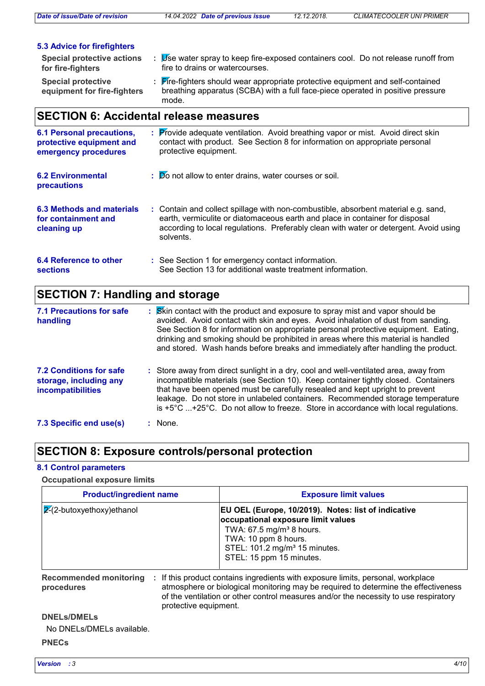*Date of issue/Date of revision 14.04.2022 Date of previous issue 12.12.2018. CLIMATECOOLER UNI PRIMER*

| <b>5.3 Advice for firefighters</b>                       |                                                                                                                                                                             |
|----------------------------------------------------------|-----------------------------------------------------------------------------------------------------------------------------------------------------------------------------|
| <b>Special protective actions</b><br>for fire-fighters   | Use water spray to keep fire-exposed containers cool. Do not release runoff from<br>fire to drains or watercourses.                                                         |
| <b>Special protective</b><br>equipment for fire-fighters | : Fire-fighters should wear appropriate protective equipment and self-contained<br>breathing apparatus (SCBA) with a full face-piece operated in positive pressure<br>mode. |

# **SECTION 6: Accidental release measures**

| <b>6.1 Personal precautions,</b><br>protective equipment and<br>emergency procedures | : Provide adequate ventilation. Avoid breathing vapor or mist. Avoid direct skin<br>contact with product. See Section 8 for information on appropriate personal<br>protective equipment.                                                                                 |
|--------------------------------------------------------------------------------------|--------------------------------------------------------------------------------------------------------------------------------------------------------------------------------------------------------------------------------------------------------------------------|
| <b>6.2 Environmental</b><br>precautions                                              | : Do not allow to enter drains, water courses or soil.                                                                                                                                                                                                                   |
| 6.3 Methods and materials<br>for containment and<br>cleaning up                      | : Contain and collect spillage with non-combustible, absorbent material e.g. sand,<br>earth, vermiculite or diatomaceous earth and place in container for disposal<br>according to local regulations. Preferably clean with water or detergent. Avoid using<br>solvents. |
| 6.4 Reference to other<br>sections                                                   | : See Section 1 for emergency contact information.<br>See Section 13 for additional waste treatment information.                                                                                                                                                         |

# **SECTION 7: Handling and storage**

| <b>7.1 Precautions for safe</b><br>handling                                          | : Skin contact with the product and exposure to spray mist and vapor should be<br>avoided. Avoid contact with skin and eyes. Avoid inhalation of dust from sanding.<br>See Section 8 for information on appropriate personal protective equipment. Eating,<br>drinking and smoking should be prohibited in areas where this material is handled<br>and stored. Wash hands before breaks and immediately after handling the product.                    |
|--------------------------------------------------------------------------------------|--------------------------------------------------------------------------------------------------------------------------------------------------------------------------------------------------------------------------------------------------------------------------------------------------------------------------------------------------------------------------------------------------------------------------------------------------------|
| <b>7.2 Conditions for safe</b><br>storage, including any<br><b>incompatibilities</b> | : Store away from direct sunlight in a dry, cool and well-ventilated area, away from<br>incompatible materials (see Section 10). Keep container tightly closed. Containers<br>that have been opened must be carefully resealed and kept upright to prevent<br>leakage. Do not store in unlabeled containers. Recommended storage temperature<br>is $+5^{\circ}$ C $+25^{\circ}$ C. Do not allow to freeze. Store in accordance with local regulations. |
| 7.3 Specific end use(s)                                                              | : None.                                                                                                                                                                                                                                                                                                                                                                                                                                                |

# **SECTION 8: Exposure controls/personal protection**

## **8.1 Control parameters**

## **Occupational exposure limits**

| <b>Product/ingredient name</b>                    |                       | <b>Exposure limit values</b>                                                                                                                                                                                                                                 |  |  |
|---------------------------------------------------|-----------------------|--------------------------------------------------------------------------------------------------------------------------------------------------------------------------------------------------------------------------------------------------------------|--|--|
| $\sqrt{2}$ -butoxyethoxy)ethanol                  |                       | EU OEL (Europe, 10/2019). Notes: list of indicative<br>occupational exposure limit values<br>TWA: $67.5$ mg/m <sup>3</sup> 8 hours.<br>TWA: 10 ppm 8 hours.<br>STEL: 101.2 mg/m <sup>3</sup> 15 minutes.<br>STEL: 15 ppm 15 minutes.                         |  |  |
| <b>Recommended monitoring</b><br>÷.<br>procedures | protective equipment. | If this product contains ingredients with exposure limits, personal, workplace<br>atmosphere or biological monitoring may be required to determine the effectiveness<br>of the ventilation or other control measures and/or the necessity to use respiratory |  |  |
| <b>DNELs/DMELs</b>                                |                       |                                                                                                                                                                                                                                                              |  |  |
| No DNELs/DMELs available.                         |                       |                                                                                                                                                                                                                                                              |  |  |
| <b>PNECs</b>                                      |                       |                                                                                                                                                                                                                                                              |  |  |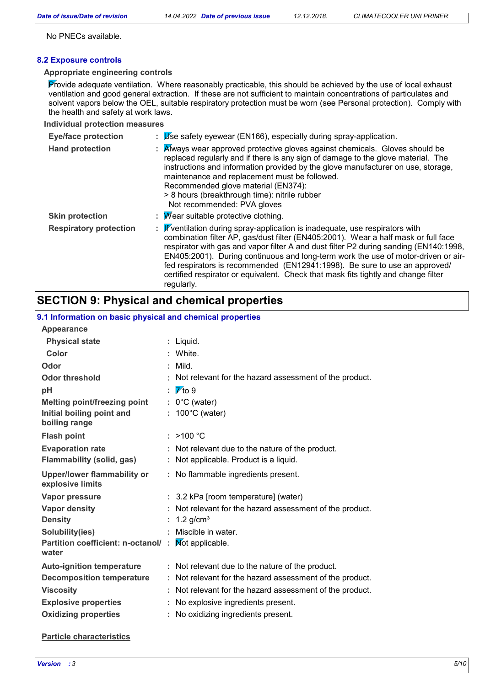No PNECs available.

## **8.2 Exposure controls**

### **Appropriate engineering controls**

Provide adequate ventilation. Where reasonably practicable, this should be achieved by the use of local exhaust ventilation and good general extraction. If these are not sufficient to maintain concentrations of particulates and solvent vapors below the OEL, suitable respiratory protection must be worn (see Personal protection). Comply with the health and safety at work laws.

### **Individual protection measures**

| <b>Eye/face protection</b>    | $\n  Use safety eyewear (EN166), especially during spray-application.$                                                                                                                                                                                                                                                                                                                                                                                                                                                                        |  |  |  |
|-------------------------------|-----------------------------------------------------------------------------------------------------------------------------------------------------------------------------------------------------------------------------------------------------------------------------------------------------------------------------------------------------------------------------------------------------------------------------------------------------------------------------------------------------------------------------------------------|--|--|--|
| <b>Hand protection</b>        | : Always wear approved protective gloves against chemicals. Gloves should be<br>replaced regularly and if there is any sign of damage to the glove material. The<br>instructions and information provided by the glove manufacturer on use, storage,<br>maintenance and replacement must be followed.<br>Recommended glove material (EN374):<br>> 8 hours (breakthrough time): nitrile rubber<br>Not recommended: PVA gloves                                                                                                                  |  |  |  |
| <b>Skin protection</b>        | : $\mathcal M$ ear suitable protective clothing.                                                                                                                                                                                                                                                                                                                                                                                                                                                                                              |  |  |  |
| <b>Respiratory protection</b> | : $\mathbf{F}$ ventilation during spray-application is inadequate, use respirators with<br>combination filter AP, gas/dust filter (EN405:2001). Wear a half mask or full face<br>respirator with gas and vapor filter A and dust filter P2 during sanding (EN140:1998,<br>EN405:2001). During continuous and long-term work the use of motor-driven or air-<br>fed respirators is recommended (EN12941:1998). Be sure to use an approved/<br>certified respirator or equivalent. Check that mask fits tightly and change filter<br>regularly. |  |  |  |

# **SECTION 9: Physical and chemical properties**

## **9.1 Information on basic physical and chemical properties**

|   | : Liquid.                                              |
|---|--------------------------------------------------------|
|   | White.                                                 |
|   | Mild.                                                  |
|   | Not relevant for the hazard assessment of the product. |
|   | $\overline{\gamma}$ to 9                               |
| ÷ | $0^{\circ}$ C (water)                                  |
|   | 100°C (water)                                          |
|   |                                                        |
|   | : >100 °C                                              |
|   | Not relevant due to the nature of the product.         |
|   | Not applicable. Product is a liquid.                   |
|   | : No flammable ingredients present.                    |
|   | : 3.2 kPa [room temperature] (water)                   |
|   | Not relevant for the hazard assessment of the product. |
|   | 1.2 $g/cm3$                                            |
|   | Miscible in water.                                     |
|   | Mot applicable.                                        |
|   | : Not relevant due to the nature of the product.       |
|   | Not relevant for the hazard assessment of the product. |
|   | Not relevant for the hazard assessment of the product. |
|   | No explosive ingredients present.                      |
|   | No oxidizing ingredients present.                      |
|   | Partition coefficient: n-octanol/:                     |

## **Particle characteristics**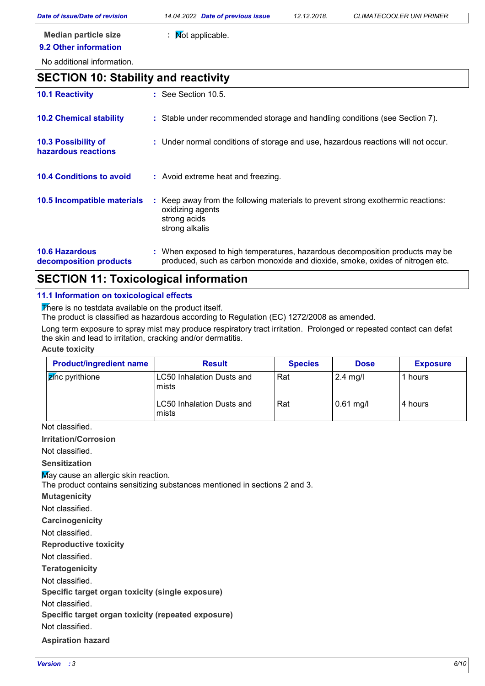*Date of issue/Date of revision 14.04.2022 Date of previous issue 12.12.2018. CLIMATECOOLER UNI PRIMER*

**Median particle size :** Not applicable. **9.2 Other information**

No additional information.

# **10.4 Conditions to avoid :** Avoid extreme heat and freezing. **10.2 Chemical stability** : Stable under recommended storage and handling conditions (see Section 7). : Keep away from the following materials to prevent strong exothermic reactions: oxidizing agents strong acids strong alkalis **10.5 Incompatible materials : 10.3 Possibility of hazardous reactions :** Under normal conditions of storage and use, hazardous reactions will not occur. **SECTION 10: Stability and reactivity 10.1 Reactivity :** See Section 10.5.

#### **10.6 Hazardous decomposition products** When exposed to high temperatures, hazardous decomposition products may be **:** produced, such as carbon monoxide and dioxide, smoke, oxides of nitrogen etc.

# **SECTION 11: Toxicological information**

## **11.1 Information on toxicological effects**

There is no testdata available on the product itself.

The product is classified as hazardous according to Regulation (EC) 1272/2008 as amended.

Long term exposure to spray mist may produce respiratory tract irritation. Prolonged or repeated contact can defat the skin and lead to irritation, cracking and/or dermatitis.

## **Acute toxicity**

| <b>Product/ingredient name</b> | <b>Result</b>                              | <b>Species</b> | <b>Dose</b> | <b>Exposure</b> |
|--------------------------------|--------------------------------------------|----------------|-------------|-----------------|
| <b>Z</b> inc pyrithione        | LC50 Inhalation Dusts and<br>mists         | Rat            | $2.4$ mg/l  | hours           |
|                                | <b>LC50 Inhalation Dusts and</b><br>Imists | Rat            | $0.61$ mg/l | l 4 hours       |

Not classified.

**Irritation/Corrosion**

Not classified.

**Sensitization**

May cause an allergic skin reaction.

The product contains sensitizing substances mentioned in sections 2 and 3.

**Mutagenicity**

Not classified.

**Carcinogenicity**

Not classified.

**Reproductive toxicity**

Not classified.

**Teratogenicity**

Not classified.

**Specific target organ toxicity (single exposure)**

Not classified.

**Specific target organ toxicity (repeated exposure)**

Not classified.

**Aspiration hazard**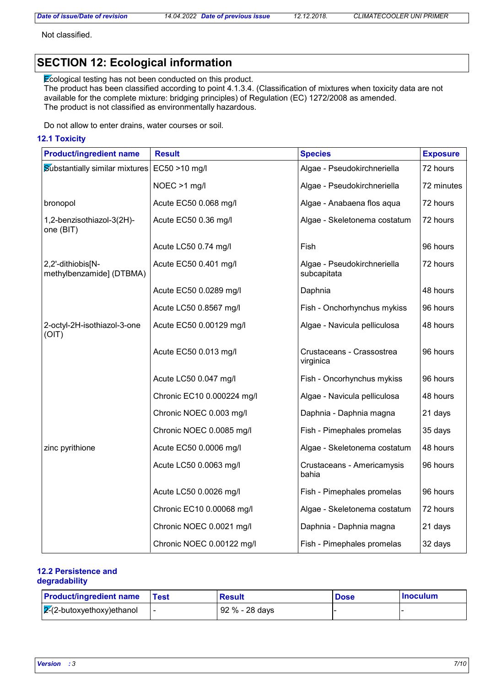Not classified.

# **SECTION 12: Ecological information**

Ecological testing has not been conducted on this product.

The product has been classified according to point 4.1.3.4. (Classification of mixtures when toxicity data are not available for the complete mixture: bridging principles) of Regulation (EC) 1272/2008 as amended. The product is not classified as environmentally hazardous.

Do not allow to enter drains, water courses or soil.

## **12.1 Toxicity**

| <b>Product/ingredient name</b>                | <b>Result</b>              | <b>Species</b>                             | <b>Exposure</b> |
|-----------------------------------------------|----------------------------|--------------------------------------------|-----------------|
| <b>Substantially similar mixtures</b>         | EC50 >10 mg/l              | Algae - Pseudokirchneriella                | 72 hours        |
|                                               | NOEC >1 mg/l               | Algae - Pseudokirchneriella                | 72 minutes      |
| bronopol                                      | Acute EC50 0.068 mg/l      | Algae - Anabaena flos aqua                 | 72 hours        |
| 1,2-benzisothiazol-3(2H)-<br>one (BIT)        | Acute EC50 0.36 mg/l       | Algae - Skeletonema costatum               | 72 hours        |
|                                               | Acute LC50 0.74 mg/l       | Fish                                       | 96 hours        |
| 2,2'-dithiobis[N-<br>methylbenzamide] (DTBMA) | Acute EC50 0.401 mg/l      | Algae - Pseudokirchneriella<br>subcapitata | 72 hours        |
|                                               | Acute EC50 0.0289 mg/l     | Daphnia                                    | 48 hours        |
|                                               | Acute LC50 0.8567 mg/l     | Fish - Onchorhynchus mykiss                | 96 hours        |
| 2-octyl-2H-isothiazol-3-one<br>(OIT)          | Acute EC50 0.00129 mg/l    | Algae - Navicula pelliculosa               | 48 hours        |
|                                               | Acute EC50 0.013 mg/l      | Crustaceans - Crassostrea<br>virginica     | 96 hours        |
|                                               | Acute LC50 0.047 mg/l      | Fish - Oncorhynchus mykiss                 | 96 hours        |
|                                               | Chronic EC10 0.000224 mg/l | Algae - Navicula pelliculosa               | 48 hours        |
|                                               | Chronic NOEC 0.003 mg/l    | Daphnia - Daphnia magna                    | 21 days         |
|                                               | Chronic NOEC 0.0085 mg/l   | Fish - Pimephales promelas                 | 35 days         |
| zinc pyrithione                               | Acute EC50 0.0006 mg/l     | Algae - Skeletonema costatum               | 48 hours        |
|                                               | Acute LC50 0.0063 mg/l     | Crustaceans - Americamysis<br>bahia        | 96 hours        |
|                                               | Acute LC50 0.0026 mg/l     | Fish - Pimephales promelas                 | 96 hours        |
|                                               | Chronic EC10 0.00068 mg/l  | Algae - Skeletonema costatum               | 72 hours        |
|                                               | Chronic NOEC 0.0021 mg/l   | Daphnia - Daphnia magna                    | 21 days         |
|                                               | Chronic NOEC 0.00122 mg/l  | Fish - Pimephales promelas                 | 32 days         |

## **12.2 Persistence and degradability**

| <b>Product/ingredient name</b>     | Test | <b>Result</b>  | <b>Dose</b> | <b>Inoculum</b> |
|------------------------------------|------|----------------|-------------|-----------------|
| $\sqrt{2}$ -2-butoxyethoxy)ethanol |      | 92 % - 28 days |             |                 |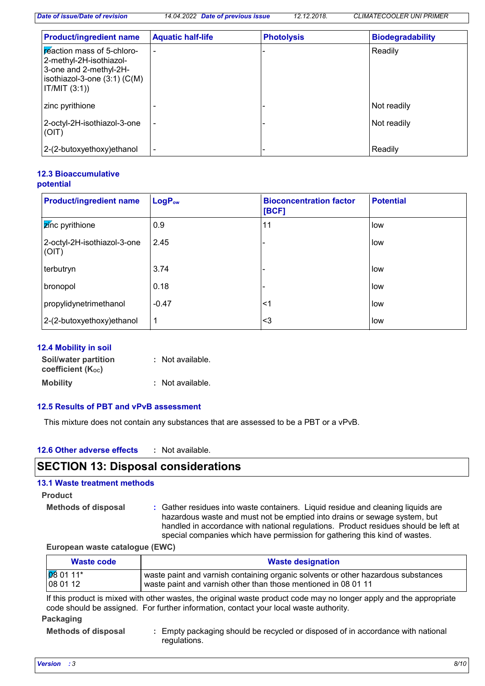*Date of issue/Date of revision 14.04.2022 Date of previous issue 12.12.2018. CLIMATECOOLER UNI PRIMER*

| <b>Product/ingredient name</b>                                                                                                       | <b>Aquatic half-life</b> | <b>Photolysis</b> | <b>Biodegradability</b> |
|--------------------------------------------------------------------------------------------------------------------------------------|--------------------------|-------------------|-------------------------|
| reaction mass of 5-chloro-<br>2-methyl-2H-isothiazol-<br>3-one and 2-methyl-2H-<br>isothiazol-3-one $(3:1)$ $(C(M))$<br>IT/MIT (3:1) |                          |                   | Readily                 |
| zinc pyrithione                                                                                                                      |                          |                   | Not readily             |
| 2-octyl-2H-isothiazol-3-one<br>(OIT)                                                                                                 |                          |                   | Not readily             |
| 2-(2-butoxyethoxy) ethanol                                                                                                           |                          |                   | Readily                 |

## **12.3 Bioaccumulative potential**

| <b>Product/ingredient name</b>       | $LogP_{ow}$ | <b>Bioconcentration factor</b><br>[BCF] | <b>Potential</b> |
|--------------------------------------|-------------|-----------------------------------------|------------------|
| zinc pyrithione                      | 0.9         | 11                                      | low              |
| 2-octyl-2H-isothiazol-3-one<br>(OIT) | 2.45        |                                         | low              |
| terbutryn                            | 3.74        |                                         | low              |
| bronopol                             | 0.18        |                                         | low              |
| propylidynetrimethanol               | $-0.47$     | $<$ 1                                   | low              |
| 2-(2-butoxyethoxy)ethanol            | 1           | $3$                                     | low              |

## **12.4 Mobility in soil**

| Soil/water partition   | : Not available. |
|------------------------|------------------|
| coefficient $(K_{oc})$ |                  |
| <b>Mobility</b>        | : Not available. |

## **12.5 Results of PBT and vPvB assessment**

This mixture does not contain any substances that are assessed to be a PBT or a vPvB.

#### **12.6 Other adverse effects :**

## **SECTION 13: Disposal considerations**

## **13.1 Waste treatment methods**

## **Product**

**Methods of disposal :**

Gather residues into waste containers. Liquid residue and cleaning liquids are hazardous waste and must not be emptied into drains or sewage system, but handled in accordance with national regulations. Product residues should be left at special companies which have permission for gathering this kind of wastes.

**European waste catalogue (EWC)**

| Waste code         | <b>Waste designation</b>                                                          |  |  |  |
|--------------------|-----------------------------------------------------------------------------------|--|--|--|
| $\sqrt{08}$ 01 11* | waste paint and varnish containing organic solvents or other hazardous substances |  |  |  |
| $ 080112\rangle$   | waste paint and varnish other than those mentioned in 08 01 11                    |  |  |  |

If this product is mixed with other wastes, the original waste product code may no longer apply and the appropriate code should be assigned. For further information, contact your local waste authority.

## **Packaging**

**Methods of disposal :** Empty packaging should be recycled or disposed of in accordance with national regulations.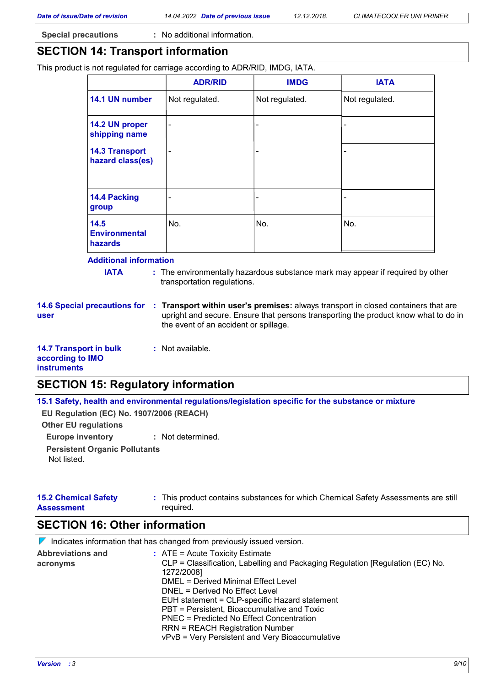**Special precautions :** No additional information.

## **SECTION 14: Transport information**

This product is not regulated for carriage according to ADR/RID, IMDG, IATA.

|                                                | <b>ADR/RID</b> | <b>IMDG</b>    | <b>IATA</b>    |
|------------------------------------------------|----------------|----------------|----------------|
| 14.1 UN number                                 | Not regulated. | Not regulated. | Not regulated. |
| 14.2 UN proper<br>shipping name                |                | $\blacksquare$ |                |
| <b>14.3 Transport</b><br>hazard class(es)      |                | ۰              |                |
| 14.4 Packing<br>group                          |                | -              |                |
| 14.5<br><b>Environmental</b><br><b>hazards</b> | No.            | No.            | No.            |

### **Additional information**

**IATA** : The environmentally hazardous substance mark may appear if required by other transportation regulations.

**user**

- **14.6 Special precautions for Transport within user's premises:** always transport in closed containers that are **:** upright and secure. Ensure that persons transporting the product know what to do in the event of an accident or spillage.
- **14.7 Transport in bulk according to IMO instruments**

## **SECTION 15: Regulatory information**

**15.1 Safety, health and environmental regulations/legislation specific for the substance or mixture**

**Other EU regulations EU Regulation (EC) No. 1907/2006 (REACH)**

**Europe inventory :** Not determined. **Persistent Organic Pollutants** Not listed.

| <b>15.2 Chemical Safety</b> | : This product contains substances for which Chemical Safety Assessments are still |
|-----------------------------|------------------------------------------------------------------------------------|
| <b>Assessment</b>           | required.                                                                          |

## **SECTION 16: Other information**

 $\nabla$  Indicates information that has changed from previously issued version.

**:** Not available.

| <b>Abbreviations and</b> | $\therefore$ ATE = Acute Toxicity Estimate                                    |
|--------------------------|-------------------------------------------------------------------------------|
| acronyms                 | CLP = Classification, Labelling and Packaging Regulation [Regulation (EC) No. |
|                          | 1272/2008]                                                                    |
|                          | <b>DMEL = Derived Minimal Effect Level</b>                                    |
|                          | DNEL = Derived No Effect Level                                                |
|                          | EUH statement = CLP-specific Hazard statement                                 |
|                          | PBT = Persistent, Bioaccumulative and Toxic                                   |
|                          | PNEC = Predicted No Effect Concentration                                      |
|                          | <b>RRN = REACH Registration Number</b>                                        |
|                          | vPvB = Very Persistent and Very Bioaccumulative                               |